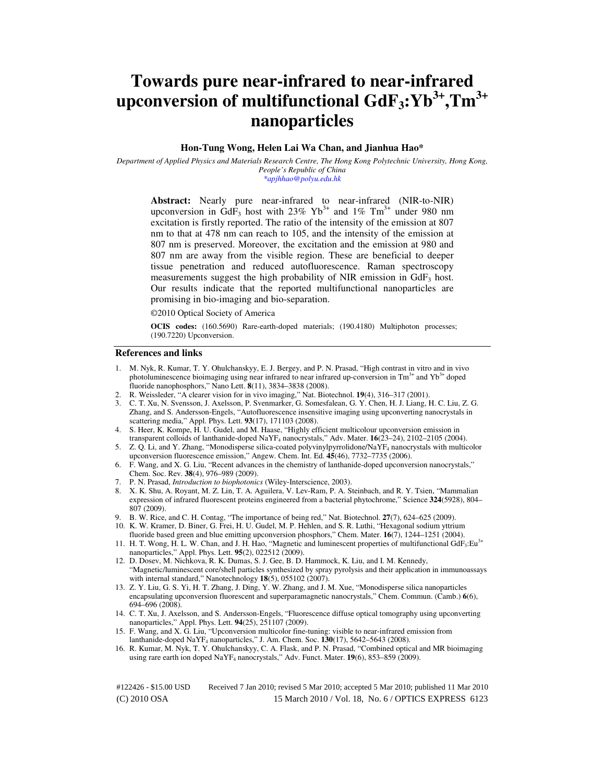# **Towards pure near-infrared to near-infrared upconversion of multifunctional GdF3:Yb3+,Tm3+ nanoparticles**

# **Hon-Tung Wong, Helen Lai Wa Chan, and Jianhua Hao\***

*Department of Applied Physics and Materials Research Centre, The Hong Kong Polytechnic University, Hong Kong, People's Republic of China \*apjhhao@polyu.edu.hk* 

**Abstract:** Nearly pure near-infrared to near-infrared (NIR-to-NIR) upconversion in GdF<sub>3</sub> host with 23% Yb<sup>3+</sup> and 1% Tm<sup>3+</sup> under 980 nm excitation is firstly reported. The ratio of the intensity of the emission at 807 nm to that at 478 nm can reach to 105, and the intensity of the emission at 807 nm is preserved. Moreover, the excitation and the emission at 980 and 807 nm are away from the visible region. These are beneficial to deeper tissue penetration and reduced autofluorescence. Raman spectroscopy measurements suggest the high probability of NIR emission in  $GdF_3$  host. Our results indicate that the reported multifunctional nanoparticles are promising in bio-imaging and bio-separation.

©2010 Optical Society of America

**OCIS codes:** (160.5690) Rare-earth-doped materials; (190.4180) Multiphoton processes; (190.7220) Upconversion.

### **References and links**

- 1. M. Nyk, R. Kumar, T. Y. Ohulchanskyy, E. J. Bergey, and P. N. Prasad, "High contrast in vitro and in vivo photoluminescence bioimaging using near infrared to near infrared up-conversion in  $Tm<sup>3+</sup>$  and  $Yb<sup>3+</sup>$  doped fluoride nanophosphors," Nano Lett. **8**(11), 3834–3838 (2008).
- 2. R. Weissleder, "A clearer vision for in vivo imaging," Nat. Biotechnol. **19**(4), 316–317 (2001).
- 3. C. T. Xu, N. Svensson, J. Axelsson, P. Svenmarker, G. Somesfalean, G. Y. Chen, H. J. Liang, H. C. Liu, Z. G. Zhang, and S. Andersson-Engels, "Autofluorescence insensitive imaging using upconverting nanocrystals in scattering media," Appl. Phys. Lett. **93**(17), 171103 (2008).
- 4. S. Heer, K. Kompe, H. U. Gudel, and M. Haase, "Highly efficient multicolour upconversion emission in transparent colloids of lanthanide-doped NaYF4 nanocrystals," Adv. Mater. **16**(23–24), 2102–2105 (2004).
- 5. Z. Q. Li, and Y. Zhang, "Monodisperse silica-coated polyvinylpyrrolidone/NaYF4 nanocrystals with multicolor upconversion fluorescence emission," Angew. Chem. Int. Ed. **45**(46), 7732–7735 (2006).
- 6. F. Wang, and X. G. Liu, "Recent advances in the chemistry of lanthanide-doped upconversion nanocrystals," Chem. Soc. Rev. **38**(4), 976–989 (2009).
- 7. P. N. Prasad, *Introduction to biophotonics* (Wiley-Interscience, 2003).
- 8. X. K. Shu, A. Royant, M. Z. Lin, T. A. Aguilera, V. Lev-Ram, P. A. Steinbach, and R. Y. Tsien, "Mammalian expression of infrared fluorescent proteins engineered from a bacterial phytochrome," Science **324**(5928), 804– 807 (2009).
- 9. B. W. Rice, and C. H. Contag, "The importance of being red," Nat. Biotechnol. **27**(7), 624–625 (2009).
- 10. K. W. Kramer, D. Biner, G. Frei, H. U. Gudel, M. P. Hehlen, and S. R. Luthi, "Hexagonal sodium yttrium fluoride based green and blue emitting upconversion phosphors," Chem. Mater. **16**(7), 1244–1251 (2004).
- 11. H. T. Wong, H. L. W. Chan, and J. H. Hao, "Magnetic and luminescent properties of multifunctional GdF<sub>3</sub>:Eu<sup>3+</sup> nanoparticles," Appl. Phys. Lett. **95**(2), 022512 (2009).
- 12. D. Dosev, M. Nichkova, R. K. Dumas, S. J. Gee, B. D. Hammock, K. Liu, and I. M. Kennedy, "Magnetic/luminescent core/shell particles synthesized by spray pyrolysis and their application in immunoassays with internal standard," Nanotechnology **18**(5), 055102 (2007).
- 13. Z. Y. Liu, G. S. Yi, H. T. Zhang, J. Ding, Y. W. Zhang, and J. M. Xue, "Monodisperse silica nanoparticles encapsulating upconversion fluorescent and superparamagnetic nanocrystals," Chem. Commun. (Camb.) **6**(6), 694–696 (2008).
- 14. C. T. Xu, J. Axelsson, and S. Andersson-Engels, "Fluorescence diffuse optical tomography using upconverting nanoparticles," Appl. Phys. Lett. **94**(25), 251107 (2009).
- 15. F. Wang, and X. G. Liu, "Upconversion multicolor fine-tuning: visible to near-infrared emission from lanthanide-doped NaYF4 nanoparticles," J. Am. Chem. Soc. **130**(17), 5642–5643 (2008).
- 16. R. Kumar, M. Nyk, T. Y. Ohulchanskyy, C. A. Flask, and P. N. Prasad, "Combined optical and MR bioimaging using rare earth ion doped NaYF4 nanocrystals," Adv. Funct. Mater. **19**(6), 853–859 (2009).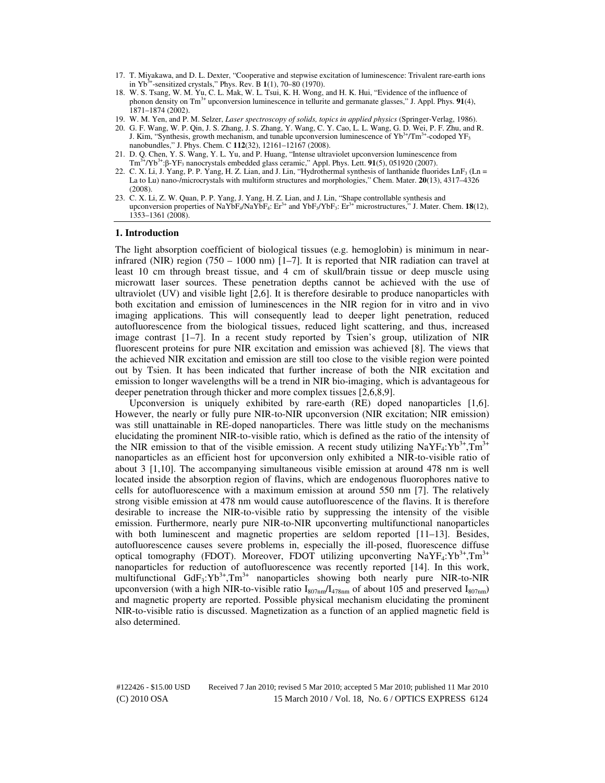- 17. T. Miyakawa, and D. L. Dexter, "Cooperative and stepwise excitation of luminescence: Trivalent rare-earth ions in Yb3+-sensitized crystals," Phys. Rev. B **1**(1), 70–80 (1970).
- 18. W. S. Tsang, W. M. Yu, C. L. Mak, W. L. Tsui, K. H. Wong, and H. K. Hui, "Evidence of the influence of phonon density on Tm<sup>3+</sup> upconversion luminescence in tellurite and germanate glasses," J. Appl. Phys. **91**(4),  $1871 - 1874(2002)$ .
- 19. W. M. Yen, and P. M. Selzer, *Laser spectroscopy of solids, topics in applied physics* (Springer-Verlag, 1986).
- 20. G. F. Wang, W. P. Qin, J. S. Zhang, J. S. Zhang, Y. Wang, C. Y. Cao, L. L. Wang, G. D. Wei, P. F. Zhu, and R. J. Kim, "Synthesis, growth mechanism, and tunable upconversion luminescence of  $Yb^{3+}/Tm^{3+}$ -codoped  $YF_3$ nanobundles," J. Phys. Chem. C **112**(32), 12161–12167 (2008).
- 21. D. Q. Chen, Y. S. Wang, Y. L. Yu, and P. Huang, "Intense ultraviolet upconversion luminescence from Tm3+/Yb3+:β-YF3 nanocrystals embedded glass ceramic," Appl. Phys. Lett. **91**(5), 051920 (2007).
- 22. C. X. Li, J. Yang, P. P. Yang, H. Z. Lian, and J. Lin, "Hydrothermal synthesis of lanthanide fluorides LnF<sub>3</sub> (Ln = La to Lu) nano-/microcrystals with multiform structures and morphologies," Chem. Mater. **20**(13), 4317–4326 (2008).
- 23. C. X. Li, Z. W. Quan, P. P. Yang, J. Yang, H. Z. Lian, and J. Lin, "Shape controllable synthesis and upconversion properties of NaYbF<sub>4</sub>/NaYbF<sub>4</sub>: Er<sup>3+</sup> and YbF<sub>3</sub>/YbF<sub>3</sub>: Er<sup>3+</sup> microstructures," J. Mater. Chem. **18**(12), 1353–1361 (2008).

# **1. Introduction**

The light absorption coefficient of biological tissues (e.g. hemoglobin) is minimum in nearinfrared (NIR) region (750 – 1000 nm)  $[1–7]$ . It is reported that NIR radiation can travel at least 10 cm through breast tissue, and 4 cm of skull/brain tissue or deep muscle using microwatt laser sources. These penetration depths cannot be achieved with the use of ultraviolet (UV) and visible light [2,6]. It is therefore desirable to produce nanoparticles with both excitation and emission of luminescences in the NIR region for in vitro and in vivo imaging applications. This will consequently lead to deeper light penetration, reduced autofluorescence from the biological tissues, reduced light scattering, and thus, increased image contrast  $[1-7]$ . In a recent study reported by Tsien's group, utilization of NIR fluorescent proteins for pure NIR excitation and emission was achieved [8]. The views that the achieved NIR excitation and emission are still too close to the visible region were pointed out by Tsien. It has been indicated that further increase of both the NIR excitation and emission to longer wavelengths will be a trend in NIR bio-imaging, which is advantageous for deeper penetration through thicker and more complex tissues [2,6,8,9].

Upconversion is uniquely exhibited by rare-earth (RE) doped nanoparticles [1,6]. However, the nearly or fully pure NIR-to-NIR upconversion (NIR excitation; NIR emission) was still unattainable in RE-doped nanoparticles. There was little study on the mechanisms elucidating the prominent NIR-to-visible ratio, which is defined as the ratio of the intensity of the NIR emission to that of the visible emission. A recent study utilizing  $\text{NaYF}_4:\text{Yb}^{3+}, \text{Tw}^{3+}$ nanoparticles as an efficient host for upconversion only exhibited a NIR-to-visible ratio of about 3 [1,10]. The accompanying simultaneous visible emission at around 478 nm is well located inside the absorption region of flavins, which are endogenous fluorophores native to cells for autofluorescence with a maximum emission at around 550 nm [7]. The relatively strong visible emission at 478 nm would cause autofluorescence of the flavins. It is therefore desirable to increase the NIR-to-visible ratio by suppressing the intensity of the visible emission. Furthermore, nearly pure NIR-to-NIR upconverting multifunctional nanoparticles with both luminescent and magnetic properties are seldom reported [11–13]. Besides, autofluorescence causes severe problems in, especially the ill-posed, fluorescence diffuse optical tomography (FDOT). Moreover, FDOT utilizing upconverting  $\text{NaYF}_4:\text{Yb}^{3+}, \text{Tm}^{3+}$ nanoparticles for reduction of autofluorescence was recently reported [14]. In this work, multifunctional  $GdF_3: Yb^{3+}, Tm^{3+}$  nanoparticles showing both nearly pure NIR-to-NIR upconversion (with a high NIR-to-visible ratio  $I_{807nm}/I_{478nm}$  of about 105 and preserved  $I_{807nm}$ ) and magnetic property are reported. Possible physical mechanism elucidating the prominent NIR-to-visible ratio is discussed. Magnetization as a function of an applied magnetic field is also determined.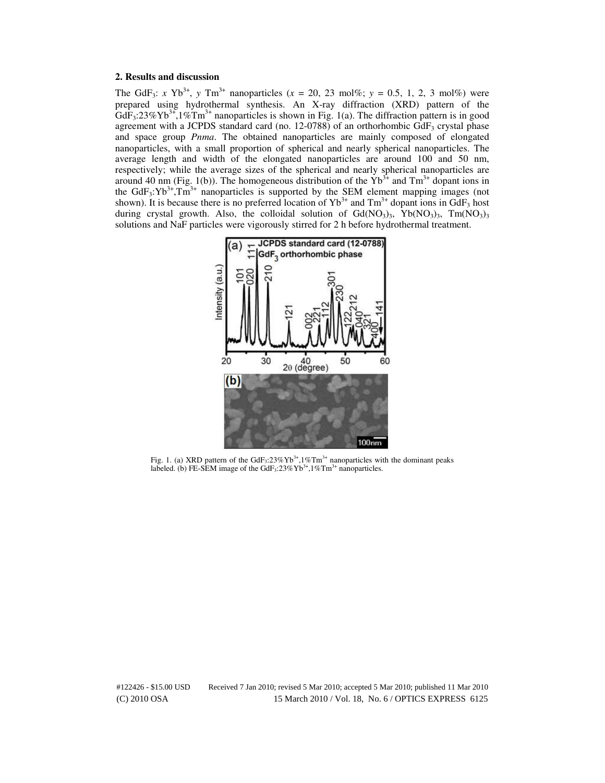# **2. Results and discussion**

The GdF<sub>3</sub>: *x* Yb<sup>3+</sup>, *y* Tm<sup>3+</sup> nanoparticles (*x* = 20, 23 mol%; *y* = 0.5, 1, 2, 3 mol%) were prepared using hydrothermal synthesis. An X-ray diffraction (XRD) pattern of the  $GdF_3:23\%Yb^{3+},1\%Tm^{3+}$  nanoparticles is shown in Fig. 1(a). The diffraction pattern is in good agreement with a JCPDS standard card (no. 12-0788) of an orthorhombic  $GdF_3$  crystal phase and space group *Pnma*. The obtained nanoparticles are mainly composed of elongated nanoparticles, with a small proportion of spherical and nearly spherical nanoparticles. The average length and width of the elongated nanoparticles are around 100 and 50 nm, respectively; while the average sizes of the spherical and nearly spherical nanoparticles are around 40 nm (Fig. 1(b)). The homogeneous distribution of the  $Yb<sup>3+</sup>$  and Tm<sup>3+</sup> dopant ions in the GdF<sub>3</sub>:Yb<sup>3+</sup>,Tm<sup>3+</sup> nanoparticles is supported by the SEM element mapping images (not shown). It is because there is no preferred location of  $Yb^{3+}$  and  $Tm^{3+}$  dopant ions in GdF<sub>3</sub> host during crystal growth. Also, the colloidal solution of  $Gd(NO<sub>3</sub>)<sub>3</sub>$ , Yb $(NO<sub>3</sub>)<sub>3</sub>$ , Tm $(NO<sub>3</sub>)<sub>3</sub>$ solutions and NaF particles were vigorously stirred for 2 h before hydrothermal treatment.



Fig. 1. (a) XRD pattern of the  $GdF_3:23\%Yb^{3+}$ ,  $1\%Tm^{3+}$  nanoparticles with the dominant peaks labeled. (b) FE-SEM image of the GdF<sub>3</sub>:23%Yb<sup>3+</sup>,1%Tm<sup>3+</sup> nanoparticles.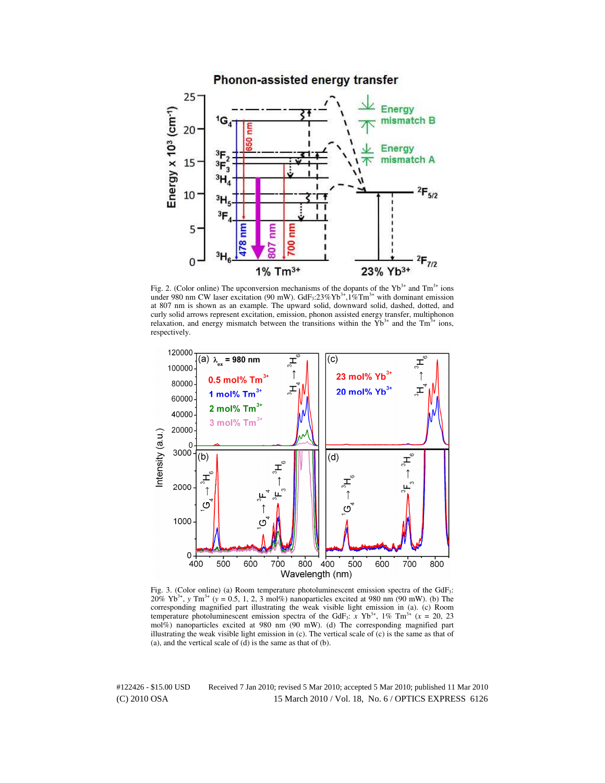#### Phonon-assisted energy transfer  $25 -$ Energy Energy  $x$  10<sup>3</sup> (cm<sup>-1</sup>) mismatch B ١G  $20<sup>1</sup>$ **Energy** mismatch A 15 3F  $3H$  $^{2}F_{5/2}$ 10  $\mathrm{^{3}H}_{5}$  $3F$ 5 Ē È Ĕ 478 ខ 3μ  $2F_{7/2}$ 0 1% Tm<sup>3+</sup> 23% Yb<sup>3+</sup>

Fig. 2. (Color online) The upconversion mechanisms of the dopants of the  $Yb^{3+}$  and  $Tm^{3+}$  ions under 980 nm CW laser excitation (90 mW).  $GdF_3:23\%Yb^{3+},1\%Tm^{3+}$  with dominant emission at 807 nm is shown as an example. The upward solid, downward solid, dashed, dotted, and curly solid arrows represent excitation, emission, phonon assisted energy transfer, multiphonon relaxation, and energy mismatch between the transitions within the  $Yb^{3+}$  and the  $Tm^{3+}$  ions, respectively.



Fig. 3. (Color online) (a) Room temperature photoluminescent emission spectra of the GdF<sub>3</sub>:  $20\% \text{ Yb}^{3+}$ , *y* Tm<sup>3+</sup> (*y* = 0.5, 1, 2, 3 mol%) nanoparticles excited at 980 nm (90 mW). (b) The corresponding magnified part illustrating the weak visible light emission in (a). (c) Room temperature photoluminescent emission spectra of the GdF<sub>3</sub>:  $\bar{x}$  Yb<sup>3+</sup>, 1% Tm<sup>3+</sup> ( $\bar{x}$  = 20, 23 mol%) nanoparticles excited at 980 nm (90 mW). (d) The corresponding magnified part illustrating the weak visible light emission in  $(c)$ . The vertical scale of  $(c)$  is the same as that of (a), and the vertical scale of  $(d)$  is the same as that of  $(b)$ .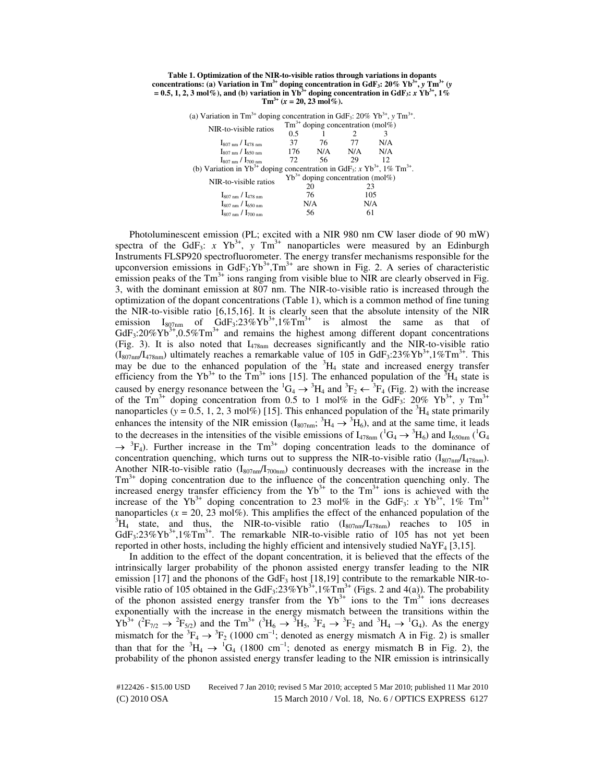**Table 1. Optimization of the NIR-to-visible ratios through variations in dopants concentrations: (a) Variation in Tm3+ doping concentration in GdF3: 20% Yb3+ ,** *y* **Tm3+ (***y*  $= 0.5, 1, 2, 3 \text{ mol\%}$ ), and (b) variation in Yb<sup>3+</sup> doping concentration in GdF<sub>3</sub>: *x* Yb<sup>3+</sup>, 1%  $\text{Tm}^{3+}$  ( $x = 20, 23 \text{ mol\%}$ ).

(a) Variation in Tm<sup>3+</sup> doping concentration in GdF<sub>3</sub>:  $20\%$  Yb<sup>3+</sup>, *y* Tm<sup>3+</sup>.

| NIR-to-visible ratios                                                                                     | $Tm^{3+}$ doping concentration (mol%) |     |     |     |  |
|-----------------------------------------------------------------------------------------------------------|---------------------------------------|-----|-----|-----|--|
|                                                                                                           | 0.5                                   |     |     |     |  |
| $I_{807 \text{ nm}}/I_{478 \text{ nm}}$                                                                   | 37                                    | 76  | 77  | N/A |  |
| $I_{807 \text{ nm}}$ / $I_{650 \text{ nm}}$                                                               | 176                                   | N/A | N/A | N/A |  |
| $I_{807 \text{ nm}}$ / $I_{700 \text{ nm}}$                                                               | 72.                                   | 56  | 29  | 12  |  |
| (b) Variation in $Yb^{3+}$ doping concentration in GdF <sub>3</sub> : x $Yb^{3+}$ , 1% Tm <sup>3+</sup> . |                                       |     |     |     |  |
| NIR-to-visible ratios                                                                                     | $Yb^{3+}$ doping concentration (mol%) |     |     |     |  |
|                                                                                                           | 20                                    |     | 23  |     |  |
| $I_{807 \text{ nm}}/I_{478 \text{ nm}}$                                                                   | 76                                    |     | 105 |     |  |
| $I_{807 \text{ nm}}$ / $I_{650 \text{ nm}}$                                                               | N/A                                   |     | N/A |     |  |
| $I_{807 \text{ nm}}$ / $I_{700 \text{ nm}}$                                                               | 56                                    |     | 61  |     |  |

Photoluminescent emission (PL; excited with a NIR 980 nm CW laser diode of 90 mW) spectra of the GdF<sub>3</sub>:  $x \text{ Yb}^{3+}$ ,  $y \text{ Tm}^{3+}$  nanoparticles were measured by an Edinburgh Instruments FLSP920 spectrofluorometer. The energy transfer mechanisms responsible for the upconversion emissions in GdF<sub>3</sub>:Yb<sup>3+</sup>,Tm<sup>3+</sup> are shown in Fig. 2. A series of characteristic emission peaks of the  $Tm<sup>3+</sup>$  ions ranging from visible blue to NIR are clearly observed in Fig. 3, with the dominant emission at 807 nm. The NIR-to-visible ratio is increased through the optimization of the dopant concentrations (Table 1), which is a common method of fine tuning the NIR-to-visible ratio [6,15,16]. It is clearly seen that the absolute intensity of the NIR emission I<sub>807nm</sub> of GdF<sub>3</sub>:23%Yb<sup>3+</sup>,1%Tm<sup>3+</sup> is almost the same as that of  $GdF_3:20\% \text{Yb}^{3+}$ ,  $0.5\% \text{Tm}^{3+}$  and remains the highest among different dopant concentrations (Fig. 3). It is also noted that  $I_{478nm}$  decreases significantly and the NIR-to-visible ratio  $(I_{807nm}/I_{478nm})$  ultimately reaches a remarkable value of 105 in GdF<sub>3</sub>:23%Yb<sup>3+</sup>,1%Tm<sup>3+</sup>. This may be due to the enhanced population of the  ${}^{3}H_{4}$  state and increased energy transfer efficiency from the Yb<sup>3+</sup> to the Tm<sup>3+</sup> ions [15]. The enhanced population of the <sup>3</sup>H<sub>4</sub> state is caused by energy resonance between the  ${}^1G_4 \rightarrow {}^3H_4$  and  ${}^3F_2 \leftarrow {}^3F_4$  (Fig. 2) with the increase of the  $\text{Tm}^{3+}$  doping concentration from 0.5 to 1 mol% in the GdF<sub>3</sub>: 20% Yb<sup>3+</sup>, y  $\text{Tm}^{3+}$ nanoparticles ( $y = 0.5, 1, 2, 3 \text{ mol}$ %) [15]. This enhanced population of the <sup>3</sup>H<sub>4</sub> state primarily enhances the intensity of the NIR emission ( $I_{807nm}$ ;  ${}^{3}H_{4} \rightarrow {}^{3}H_{6}$ ), and at the same time, it leads to the decreases in the intensities of the visible emissions of  $I_{478nm}$  ( ${}^{1}G_{4} \rightarrow {}^{3}H_{6}$ ) and  $I_{650nm}$  ( ${}^{1}G_{4}$  $\rightarrow$ <sup>3</sup>F<sub>4</sub>). Further increase in the Tm<sup>3+</sup> doping concentration leads to the dominance of concentration quenching, which turns out to suppress the NIR-to-visible ratio  $(I_{807nm}/I_{478nm})$ . Another NIR-to-visible ratio  $(I_{807nm}/I_{700nm})$  continuously decreases with the increase in the  $Tm<sup>3+</sup>$  doping concentration due to the influence of the concentration quenching only. The increased energy transfer efficiency from the  $Yb^{3+}$  to the Tm<sup>3+</sup> ions is achieved with the increase of the Yb<sup>3+</sup> doping concentration to 23 mol% in the GdF<sub>3</sub>: *x* Yb<sup>3+</sup>, 1% Tm<sup>3+</sup> nanoparticles  $(x = 20, 23 \text{ mol\%)}$ . This amplifies the effect of the enhanced population of the  ${}^{3}H_{4}$  state, and thus, the NIR-to-visible ratio (I<sub>807nm</sub>/I<sub>478nm</sub>) reaches to 105 in  $GdF_3:23\%Yb^{3+},1\%Tm^{3+}$ . The remarkable NIR-to-visible ratio of 105 has not yet been reported in other hosts, including the highly efficient and intensively studied  $\text{NaYF}_4$  [3,15].

In addition to the effect of the dopant concentration, it is believed that the effects of the intrinsically larger probability of the phonon assisted energy transfer leading to the NIR emission [17] and the phonons of the GdF<sub>3</sub> host [18,19] contribute to the remarkable NIR-tovisible ratio of 105 obtained in the GdF<sub>3</sub>:23%Yb<sup>3+</sup>,1%Tm<sup>3+</sup> (Figs. 2 and 4(a)). The probability of the phonon assisted energy transfer from the  $Yb^{3+}$  ions to the  $Tm^{3+}$  ions decreases exponentially with the increase in the energy mismatch between the transitions within the  $Yb^{3+}$  ( ${}^{2}F_{7/2} \rightarrow {}^{2}F_{5/2}$ ) and the Tm<sup>3+</sup> ( ${}^{3}H_{6} \rightarrow {}^{3}H_{5}$ ,  ${}^{3}F_{4} \rightarrow {}^{3}F_{2}$  and  ${}^{3}H_{4} \rightarrow {}^{1}G_{4}$ ). As the energy mismatch for the  ${}^{3}F_{4} \rightarrow {}^{3}F_{2}$  (1000 cm<sup>-1</sup>; denoted as energy mismatch A in Fig. 2) is smaller than that for the  ${}^{3}H_4 \rightarrow {}^{1}G_4$  (1800 cm<sup>-1</sup>; denoted as energy mismatch B in Fig. 2), the probability of the phonon assisted energy transfer leading to the NIR emission is intrinsically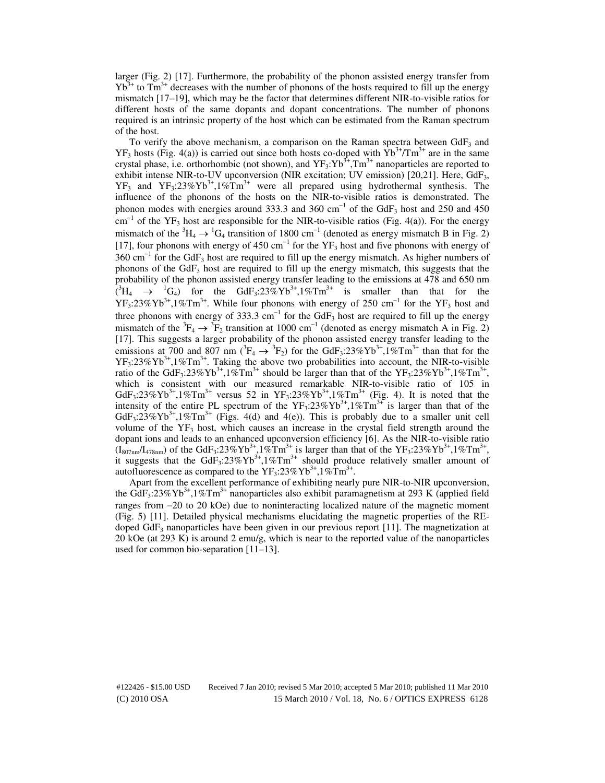larger (Fig. 2) [17]. Furthermore, the probability of the phonon assisted energy transfer from  $Yb^{3+}$  to Tm<sup>3+</sup> decreases with the number of phonons of the hosts required to fill up the energy mismatch [17–19], which may be the factor that determines different NIR-to-visible ratios for different hosts of the same dopants and dopant concentrations. The number of phonons required is an intrinsic property of the host which can be estimated from the Raman spectrum of the host.

To verify the above mechanism, a comparison on the Raman spectra between  $GdF_3$  and  $YF_3$  hosts (Fig. 4(a)) is carried out since both hosts co-doped with  $Yb^{3+}/Tm^{3+}$  are in the same crystal phase, i.e. orthorhombic (not shown), and  $YF_3:Yb^{3+},Tm^{3+}$  nanoparticles are reported to exhibit intense NIR-to-UV upconversion (NIR excitation; UV emission) [20,21]. Here, GdF<sub>3</sub>,  $YF_3$  and  $YF_3$ :23% $Yb^{3+}$ ,1% $Tm^{3+}$  were all prepared using hydrothermal synthesis. The influence of the phonons of the hosts on the NIR-to-visible ratios is demonstrated. The phonon modes with energies around 333.3 and 360 cm<sup>-1</sup> of the GdF<sub>3</sub> host and 250 and 450  $cm^{-1}$  of the YF<sub>3</sub> host are responsible for the NIR-to-visible ratios (Fig. 4(a)). For the energy mismatch of the  ${}^{3}H_{4} \rightarrow {}^{1}G_{4}$  transition of 1800 cm<sup>-1</sup> (denoted as energy mismatch B in Fig. 2) [17], four phonons with energy of 450 cm<sup>-1</sup> for the YF<sub>3</sub> host and five phonons with energy of 360 cm<sup>-1</sup> for the GdF<sub>3</sub> host are required to fill up the energy mismatch. As higher numbers of phonons of the  $GdF_3$  host are required to fill up the energy mismatch, this suggests that the probability of the phonon assisted energy transfer leading to the emissions at 478 and 650 nm  $({}^{3}H_{4} \rightarrow {}^{1}G_{4})$  for the GdF<sub>3</sub>:23%Yb<sup>3+</sup>,1%Tm<sup>3+</sup> is smaller than that for the  $YF_3:23\%Yb^{3+},1\%Tm^{3+}$ . While four phonons with energy of 250 cm<sup>-1</sup> for the YF<sub>3</sub> host and three phonons with energy of 333.3  $cm^{-1}$  for the GdF<sub>3</sub> host are required to fill up the energy mismatch of the  ${}^{3}F_{4} \rightarrow {}^{3}F_{2}$  transition at 1000 cm<sup>-1</sup> (denoted as energy mismatch A in Fig. 2) [17]. This suggests a larger probability of the phonon assisted energy transfer leading to the emissions at 700 and 807 nm ( ${}^{3}F_{4} \rightarrow {}^{3}F_{2}$ ) for the GdF<sub>3</sub>:23%Yb<sup>3+</sup>,1%Tm<sup>3+</sup> than that for the  $YF_3:23\%Yb^{3+}$ ,  $1\%Tm^{3+}$ . Taking the above two probabilities into account, the NIR-to-visible ratio of the GdF<sub>3</sub>:23%Yb<sup>3+</sup>,1%Tm<sup>3+</sup> should be larger than that of the YF<sub>3</sub>:23%Yb<sup>3+</sup>,1%Tm<sup>3+</sup>, which is consistent with our measured remarkable NIR-to-visible ratio of 105 in  $GdF_3:23\%Yb^{3+},1\%Tm^{3+}$  versus 52 in  $YF_3:23\%Yb^{3+},1\%Tm^{3+}$  (Fig. 4). It is noted that the intensity of the entire PL spectrum of the  $YF_3:23\%Yb^{3+},1\%Tm^{3+}$  is larger than that of the GdF<sub>3</sub>:23%Yb<sup>3+</sup>,1%Tm<sup>3+</sup> (Figs. 4(d) and 4(e)). This is probably due to a smaller unit cell volume of the  $YF_3$  host, which causes an increase in the crystal field strength around the dopant ions and leads to an enhanced upconversion efficiency [6]. As the NIR-to-visible ratio  $(I_{807nm}/I_{478nm})$  of the GdF<sub>3</sub>:23%Yb<sup>3+</sup>,1%Tm<sup>3+</sup> is larger than that of the YF<sub>3</sub>:23%Yb<sup>3+</sup>,1%Tm<sup>3+</sup>, it suggests that the  $GdF_3:23\%Yb^{3+},1\%Tm^{3+}$  should produce relatively smaller amount of autofluorescence as compared to the  $YF_3$ :23% $Yb^{3+}$ ,1% $Tm^{3+}$ .

Apart from the excellent performance of exhibiting nearly pure NIR-to-NIR upconversion, the GdF<sub>3</sub>:23%Yb<sup>3+</sup>,1%Tm<sup>3+</sup> nanoparticles also exhibit paramagnetism at 293 K (applied field ranges from −20 to 20 kOe) due to noninteracting localized nature of the magnetic moment (Fig. 5) [11]. Detailed physical mechanisms elucidating the magnetic properties of the REdoped  $GdF_3$  nanoparticles have been given in our previous report [11]. The magnetization at 20 kOe (at 293 K) is around 2 emu/g, which is near to the reported value of the nanoparticles used for common bio-separation [11–13].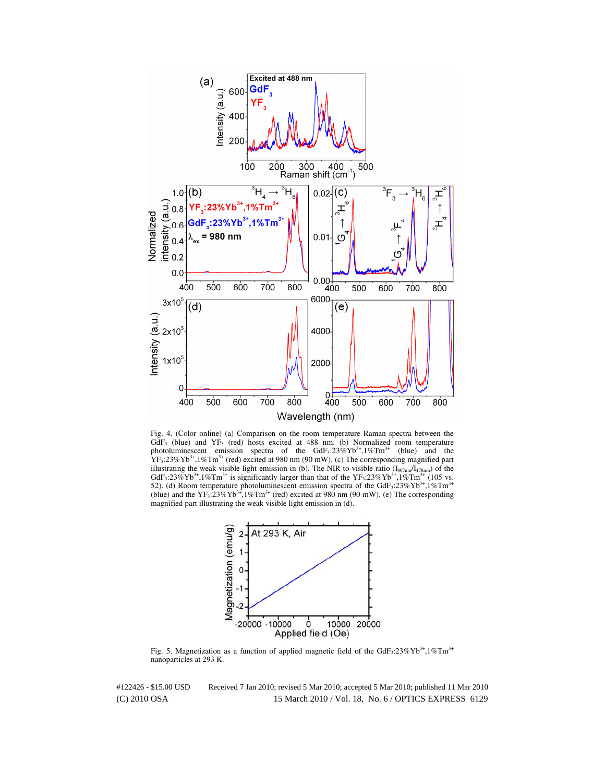

Fig. 4. (Color online) (a) Comparison on the room temperature Raman spectra between the  $GdF_3$  (blue) and  $YF_3$  (red) hosts excited at 488 nm. (b) Normalized room temperature photoluminescent emission spectra of the  $GdF_3:23\%Yb^{3+},1\%Tm^{3+}$  (blue) and the  $YF_3:23\%Yb^{3+}$ , 1%Tm<sup>3+</sup> (red) excited at 980 nm (90 mW). (c) The corresponding magnified part illustrating the weak visible light emission in (b). The NIR-to-visible ratio  $(I_{807nm}/I_{478nm})$  of the GdF<sub>3</sub>:23%Yb<sup>3+</sup>,1%Tm<sup>3+</sup> (105 vs. 52). (d) Room temperature photoluminescent emission spectra of the GdF<sub>3</sub>:23%Yb<sup>3+</sup>,1%Tm<sup>3+</sup> (blue) and the  $YF_3:23\%Yb^{3+},1\%Tm^{3+}$  (red) excited at 980 nm (90 mW). (e) The corresponding magnified part illustrating the weak visible light emission in (d).



Fig. 5. Magnetization as a function of applied magnetic field of the GdF<sub>3</sub>:23%Yb<sup>3+</sup>,1%Tm<sup>3+</sup> nanoparticles at 293 K.